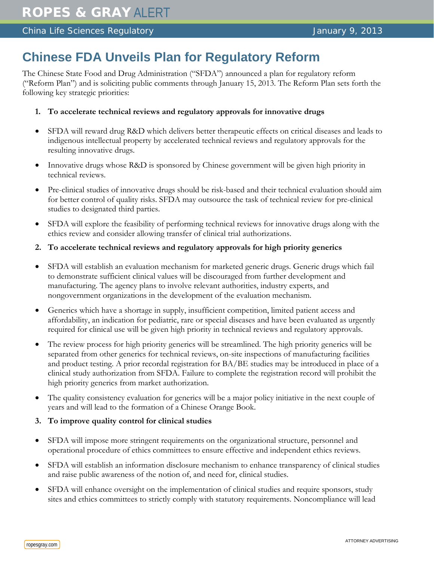## **Chinese FDA Unveils Plan for Regulatory Reform**

The Chinese State Food and Drug Administration ("SFDA") announced a plan for regulatory reform ("Reform Plan") and is soliciting public comments through January 15, 2013. The Reform Plan sets forth the following key strategic priorities:

- **1. To accelerate technical reviews and regulatory approvals for innovative drugs**
- SFDA will reward drug R&D which delivers better therapeutic effects on critical diseases and leads to indigenous intellectual property by accelerated technical reviews and regulatory approvals for the resulting innovative drugs.
- Innovative drugs whose R&D is sponsored by Chinese government will be given high priority in technical reviews.
- Pre-clinical studies of innovative drugs should be risk-based and their technical evaluation should aim for better control of quality risks. SFDA may outsource the task of technical review for pre-clinical studies to designated third parties.
- SFDA will explore the feasibility of performing technical reviews for innovative drugs along with the ethics review and consider allowing transfer of clinical trial authorizations.
- **2. To accelerate technical reviews and regulatory approvals for high priority generics**
- SFDA will establish an evaluation mechanism for marketed generic drugs. Generic drugs which fail to demonstrate sufficient clinical values will be discouraged from further development and manufacturing. The agency plans to involve relevant authorities, industry experts, and nongovernment organizations in the development of the evaluation mechanism.
- Generics which have a shortage in supply, insufficient competition, limited patient access and affordability, an indication for pediatric, rare or special diseases and have been evaluated as urgently required for clinical use will be given high priority in technical reviews and regulatory approvals.
- The review process for high priority generics will be streamlined. The high priority generics will be separated from other generics for technical reviews, on-site inspections of manufacturing facilities and product testing. A prior recordal registration for BA/BE studies may be introduced in place of a clinical study authorization from SFDA. Failure to complete the registration record will prohibit the high priority generics from market authorization.
- The quality consistency evaluation for generics will be a major policy initiative in the next couple of years and will lead to the formation of a Chinese Orange Book.
- **3. To improve quality control for clinical studies**
- SFDA will impose more stringent requirements on the organizational structure, personnel and operational procedure of ethics committees to ensure effective and independent ethics reviews.
- SFDA will establish an information disclosure mechanism to enhance transparency of clinical studies and raise public awareness of the notion of, and need for, clinical studies.
- SFDA will enhance oversight on the implementation of clinical studies and require sponsors, study sites and ethics committees to strictly comply with statutory requirements. Noncompliance will lead